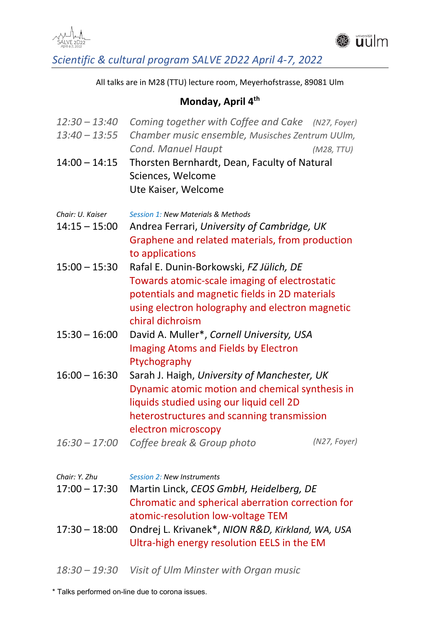



*Scientific & cultural program SALVE 2D22 April 4‐7, 2022* 

All talks are in M28 (TTU) lecture room, Meyerhofstrasse, 89081 Ulm

### **Monday, April 4th**

| $12:30 - 13:40$<br>$13:40 - 13:55$                  | Coming together with Coffee and Cake (N27, Foyer)<br>Chamber music ensemble, Musisches Zentrum UUIm,<br>Cond. Manuel Haupt<br>(M28, TTU)                                                                                             |  |  |
|-----------------------------------------------------|--------------------------------------------------------------------------------------------------------------------------------------------------------------------------------------------------------------------------------------|--|--|
| $14:00 - 14:15$                                     | Thorsten Bernhardt, Dean, Faculty of Natural<br>Sciences, Welcome<br>Ute Kaiser, Welcome                                                                                                                                             |  |  |
| Chair: U. Kaiser<br>$14:15 - 15:00$                 | <b>Session 1: New Materials &amp; Methods</b><br>Andrea Ferrari, University of Cambridge, UK<br>Graphene and related materials, from production                                                                                      |  |  |
| $15:00 - 15:30$                                     | to applications<br>Rafal E. Dunin-Borkowski, FZ Jülich, DE<br>Towards atomic-scale imaging of electrostatic<br>potentials and magnetic fields in 2D materials<br>using electron holography and electron magnetic<br>chiral dichroism |  |  |
| $15:30 - 16:00$                                     | David A. Muller*, Cornell University, USA<br><b>Imaging Atoms and Fields by Electron</b><br>Ptychography                                                                                                                             |  |  |
| $16:00 - 16:30$                                     | Sarah J. Haigh, University of Manchester, UK<br>Dynamic atomic motion and chemical synthesis in<br>liquids studied using our liquid cell 2D<br>heterostructures and scanning transmission<br>electron microscopy                     |  |  |
| $16:30 - 17:00$                                     | (N27, Foyer)<br>Coffee break & Group photo                                                                                                                                                                                           |  |  |
| Chair: Y. Zhu<br>$17:00 - 17:30$<br>$17:30 - 18:00$ | <b>Session 2: New Instruments</b><br>Martin Linck, CEOS GmbH, Heidelberg, DE<br>Chromatic and spherical aberration correction for<br>atomic-resolution low-voltage TEM<br>Ondrej L. Krivanek*, NION R&D, Kirkland, WA, USA           |  |  |
|                                                     | Ultra-high energy resolution EELS in the EM                                                                                                                                                                                          |  |  |

*18:30 – 19:30 Visit of Ulm Minster with Organ music* 

\* Talks performed on-line due to corona issues.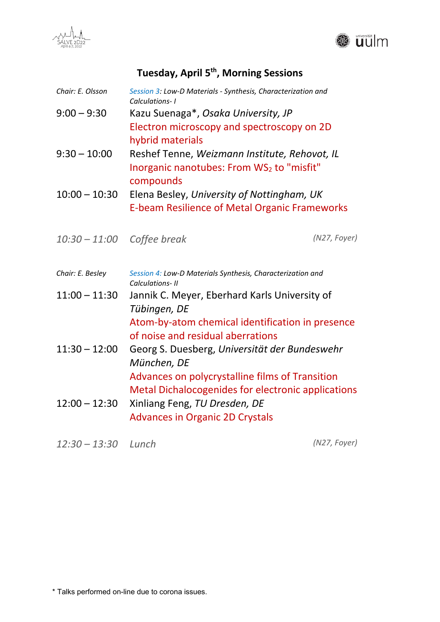



## Tuesday, April 5<sup>th</sup>, Morning Sessions

| Chair: E. Olsson | Session 3: Low-D Materials - Synthesis, Characterization and<br>Calculations-1                          |  |
|------------------|---------------------------------------------------------------------------------------------------------|--|
| $9:00 - 9:30$    | Kazu Suenaga*, Osaka University, JP                                                                     |  |
|                  | Electron microscopy and spectroscopy on 2D<br>hybrid materials                                          |  |
| $9:30 - 10:00$   | Reshef Tenne, Weizmann Institute, Rehovot, IL<br>Inorganic nanotubes: From WS2 to "misfit"<br>compounds |  |
| $10:00 - 10:30$  | Elena Besley, University of Nottingham, UK                                                              |  |
|                  | <b>E-beam Resilience of Metal Organic Frameworks</b>                                                    |  |
| $10:30 - 11:00$  | (N27, Foyer)<br>Coffee break                                                                            |  |
| Chair: E. Besley | Session 4: Low-D Materials Synthesis, Characterization and<br>Calculations- II                          |  |
| $11:00 - 11:30$  | Jannik C. Meyer, Eberhard Karls University of<br>Tübingen, DE                                           |  |
|                  | Atom-by-atom chemical identification in presence<br>of noise and residual aberrations                   |  |
| $11:30 - 12:00$  | Georg S. Duesberg, Universität der Bundeswehr<br>München, DE                                            |  |
|                  | Advances on polycrystalline films of Transition<br>Metal Dichalocogenides for electronic applications   |  |
| $12:00 - 12:30$  | Xinliang Feng, TU Dresden, DE                                                                           |  |
|                  | <b>Advances in Organic 2D Crystals</b>                                                                  |  |
|                  |                                                                                                         |  |

*12:30 – 13:30 Lunch (N27, Foyer)*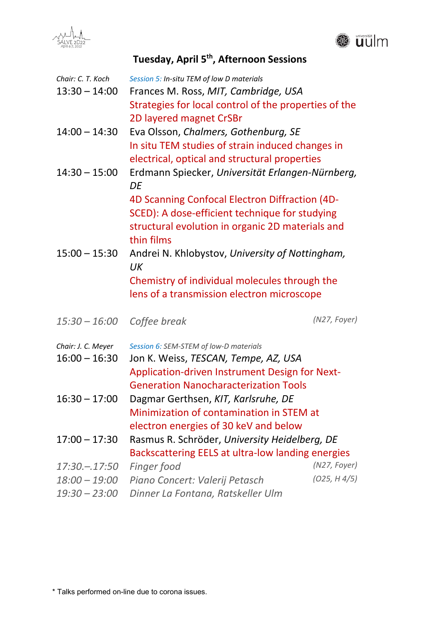



# **Tuesday, April 5th, Afternoon Sessions**

| Chair: C. T. Koch<br>$13:30 - 14:00$ | Session 5: In-situ TEM of low D materials<br>Frances M. Ross, MIT, Cambridge, USA<br>Strategies for local control of the properties of the<br>2D layered magnet CrSBr |              |
|--------------------------------------|-----------------------------------------------------------------------------------------------------------------------------------------------------------------------|--------------|
| $14:00 - 14:30$                      | Eva Olsson, Chalmers, Gothenburg, SE<br>In situ TEM studies of strain induced changes in<br>electrical, optical and structural properties                             |              |
| $14:30 - 15:00$                      | Erdmann Spiecker, Universität Erlangen-Nürnberg,<br>DE                                                                                                                |              |
|                                      | 4D Scanning Confocal Electron Diffraction (4D-                                                                                                                        |              |
|                                      | SCED): A dose-efficient technique for studying                                                                                                                        |              |
|                                      | structural evolution in organic 2D materials and<br>thin films                                                                                                        |              |
| $15:00 - 15:30$                      | Andrei N. Khlobystov, University of Nottingham,<br>UK                                                                                                                 |              |
|                                      | Chemistry of individual molecules through the                                                                                                                         |              |
|                                      | lens of a transmission electron microscope                                                                                                                            |              |
| $15:30 - 16:00$                      | Coffee break                                                                                                                                                          | (N27, Foyer) |
| Chair: J. C. Meyer                   | Session 6: SEM-STEM of low-D materials                                                                                                                                |              |
| $16:00 - 16:30$                      | Jon K. Weiss, TESCAN, Tempe, AZ, USA                                                                                                                                  |              |
|                                      | Application-driven Instrument Design for Next-                                                                                                                        |              |
|                                      | <b>Generation Nanocharacterization Tools</b>                                                                                                                          |              |
| $16:30 - 17:00$                      | Dagmar Gerthsen, KIT, Karlsruhe, DE                                                                                                                                   |              |
|                                      | Minimization of contamination in STEM at                                                                                                                              |              |
|                                      | electron energies of 30 keV and below                                                                                                                                 |              |
| $17:00 - 17:30$                      | Rasmus R. Schröder, University Heidelberg, DE                                                                                                                         |              |
|                                      | Backscattering EELS at ultra-low landing energies                                                                                                                     |              |
| $17:30 - 17:50$                      | Finger food                                                                                                                                                           | (N27, Foyer) |
| $18:00 - 19:00$                      | Piano Concert: Valerij Petasch                                                                                                                                        | (025, H4/5)  |
| $19:30 - 23:00$                      | Dinner La Fontana, Ratskeller Ulm                                                                                                                                     |              |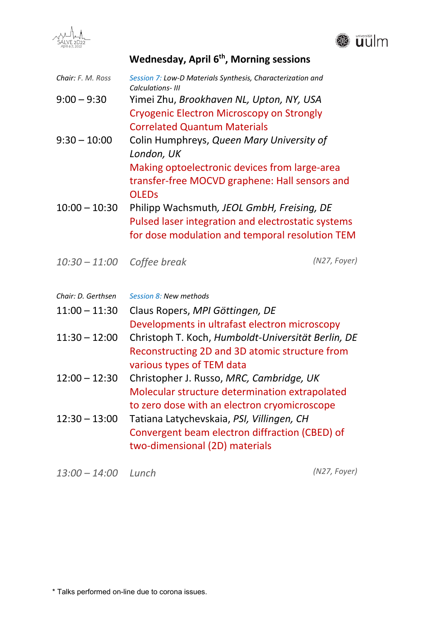



**Wednesday, April 6th, Morning sessions** 

| Chair: F. M. Ross     | Session 7: Low-D Materials Synthesis, Characterization and<br>Calculations- III                                                                                                                                       |              |  |
|-----------------------|-----------------------------------------------------------------------------------------------------------------------------------------------------------------------------------------------------------------------|--------------|--|
| $9:00 - 9:30$         | Yimei Zhu, Brookhaven NL, Upton, NY, USA<br><b>Cryogenic Electron Microscopy on Strongly</b><br><b>Correlated Quantum Materials</b>                                                                                   |              |  |
| $9:30 - 10:00$        | Colin Humphreys, Queen Mary University of<br>London, UK<br>Making optoelectronic devices from large-area                                                                                                              |              |  |
| $10:00 - 10:30$       | transfer-free MOCVD graphene: Hall sensors and<br><b>OLEDS</b><br>Philipp Wachsmuth, JEOL GmbH, Freising, DE<br>Pulsed laser integration and electrostatic systems<br>for dose modulation and temporal resolution TEM |              |  |
| $10:30 - 11:00$       | Coffee break                                                                                                                                                                                                          | (N27, Foyer) |  |
| Chair: D. Gerthsen    | Session 8: New methods                                                                                                                                                                                                |              |  |
| $11:00 - 11:30$       | Claus Ropers, MPI Göttingen, DE<br>Developments in ultrafast electron microscopy                                                                                                                                      |              |  |
| $11:30 - 12:00$       | Christoph T. Koch, Humboldt-Universität Berlin, DE<br>Reconstructing 2D and 3D atomic structure from<br>various types of TEM data                                                                                     |              |  |
| $12:00 - 12:30$       | Christopher J. Russo, MRC, Cambridge, UK<br>Molecular structure determination extrapolated<br>to zero dose with an electron cryomicroscope                                                                            |              |  |
| $12:30 - 13:00$       | Tatiana Latychevskaia, PSI, Villingen, CH<br>Convergent beam electron diffraction (CBED) of<br>two-dimensional (2D) materials                                                                                         |              |  |
| $13:00 - 14:00$ Lunch |                                                                                                                                                                                                                       | (N27, Foyer) |  |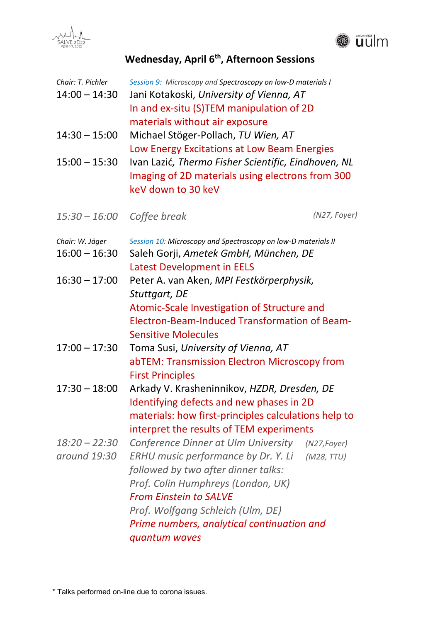



## **Wednesday, April 6th, Afternoon Sessions**

| Chair: T. Pichler<br>$14:00 - 14:30$ | Session 9: Microscopy and Spectroscopy on low-D materials I<br>Jani Kotakoski, University of Vienna, AT<br>In and ex-situ (S)TEM manipulation of 2D<br>materials without air exposure                                                                                                                                              |  |  |
|--------------------------------------|------------------------------------------------------------------------------------------------------------------------------------------------------------------------------------------------------------------------------------------------------------------------------------------------------------------------------------|--|--|
| $14:30 - 15:00$                      | Michael Stöger-Pollach, TU Wien, AT<br>Low Energy Excitations at Low Beam Energies                                                                                                                                                                                                                                                 |  |  |
| $15:00 - 15:30$                      | Ivan Lazić, Thermo Fisher Scientific, Eindhoven, NL<br>Imaging of 2D materials using electrons from 300<br>keV down to 30 keV                                                                                                                                                                                                      |  |  |
| $15:30 - 16:00$                      | (N27, Foyer)<br>Coffee break                                                                                                                                                                                                                                                                                                       |  |  |
| Chair: W. Jäger<br>$16:00 - 16:30$   | Session 10: Microscopy and Spectroscopy on low-D materials II<br>Saleh Gorji, Ametek GmbH, München, DE<br><b>Latest Development in EELS</b>                                                                                                                                                                                        |  |  |
| $16:30 - 17:00$                      | Peter A. van Aken, MPI Festkörperphysik,<br>Stuttgart, DE<br>Atomic-Scale Investigation of Structure and<br><b>Electron-Beam-Induced Transformation of Beam-</b><br><b>Sensitive Molecules</b>                                                                                                                                     |  |  |
| $17:00 - 17:30$                      | Toma Susi, University of Vienna, AT<br>abTEM: Transmission Electron Microscopy from<br><b>First Principles</b>                                                                                                                                                                                                                     |  |  |
| $17:30 - 18:00$                      | Arkady V. Krasheninnikov, HZDR, Dresden, DE<br>Identifying defects and new phases in 2D<br>materials: how first-principles calculations help to<br>interpret the results of TEM experiments                                                                                                                                        |  |  |
| $18:20 - 22:30$<br>around 19:30      | Conference Dinner at Ulm University<br>$(N27, \text{Foyer})$<br>ERHU music performance by Dr. Y. Li<br>(M28,TTU)<br>followed by two after dinner talks:<br>Prof. Colin Humphreys (London, UK)<br><b>From Einstein to SALVE</b><br>Prof. Wolfgang Schleich (Ulm, DE)<br>Prime numbers, analytical continuation and<br>quantum waves |  |  |

\* Talks performed on-line due to corona issues.